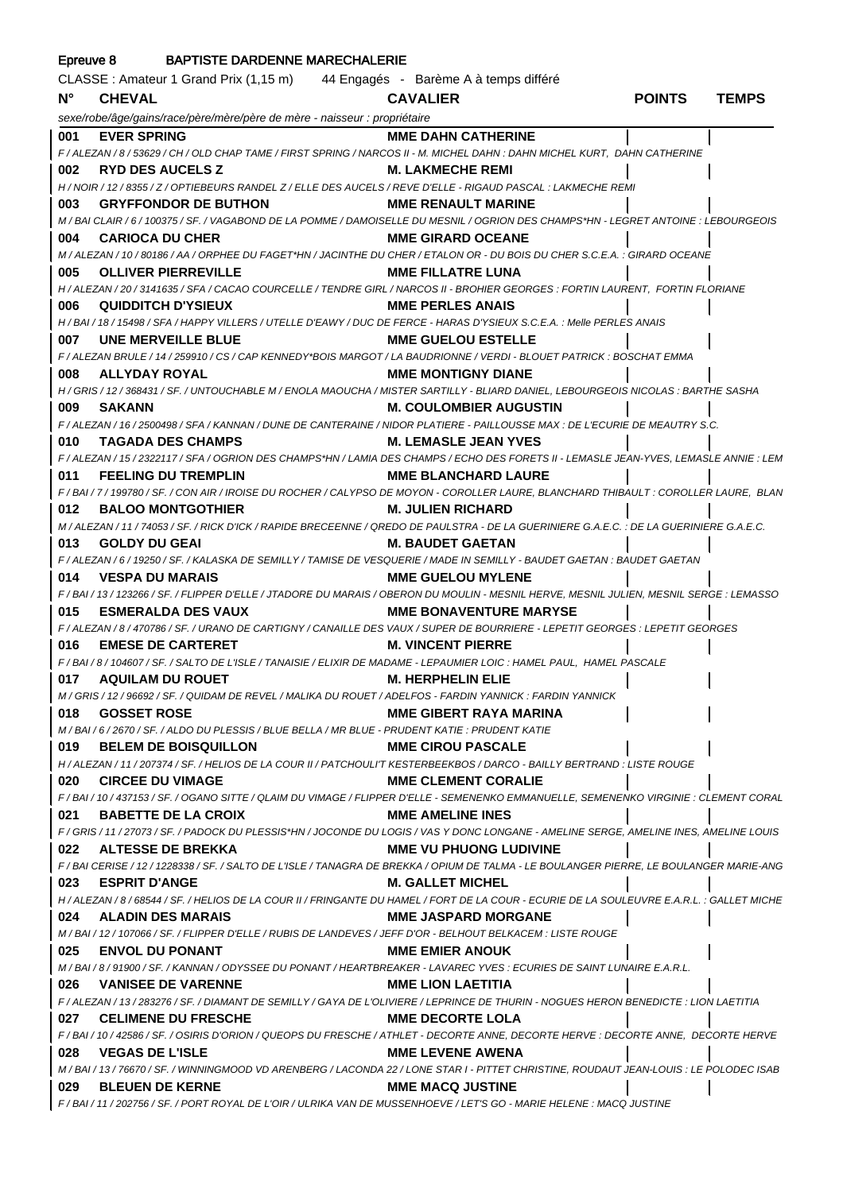| <b>BAPTISTE DARDENNE MARECHALERIE</b><br>Epreuve 8 |                                                                                       |                                                                                                                                                                          |               |              |
|----------------------------------------------------|---------------------------------------------------------------------------------------|--------------------------------------------------------------------------------------------------------------------------------------------------------------------------|---------------|--------------|
|                                                    | CLASSE : Amateur 1 Grand Prix (1,15 m) 44 Engagés - Barème A à temps différé          |                                                                                                                                                                          |               |              |
| $N^{\circ}$                                        | <b>CHEVAL</b>                                                                         | <b>CAVALIER</b>                                                                                                                                                          | <b>POINTS</b> | <b>TEMPS</b> |
|                                                    | sexe/robe/âge/gains/race/père/mère/père de mère - naisseur : propriétaire             |                                                                                                                                                                          |               |              |
| 001                                                | <b>EVER SPRING</b>                                                                    | <b>MME DAHN CATHERINE</b>                                                                                                                                                |               |              |
|                                                    |                                                                                       | F / ALEZAN / 8 / 53629 / CH / OLD CHAP TAME / FIRST SPRING / NARCOS II - M. MICHEL DAHN : DAHN MICHEL KURT, DAHN CATHERINE                                               |               |              |
| 002                                                | <b>RYD DES AUCELS Z</b>                                                               | <b>M. LAKMECHE REMI</b>                                                                                                                                                  |               |              |
|                                                    |                                                                                       | H / NOIR / 12 / 8355 / Z / OPTIEBEURS RANDEL Z / ELLE DES AUCELS / REVE D'ELLE - RIGAUD PASCAL : LAKMECHE REMI                                                           |               |              |
| 003                                                | GRYFFONDOR DE BUTHON MME RENAULT MARINE                                               |                                                                                                                                                                          |               |              |
|                                                    |                                                                                       | M / BAI CLAIR / 6 / 100375 / SF. / VAGABOND DE LA POMME / DAMOISELLE DU MESNIL / OGRION DES CHAMPS*HN - LEGRET ANTOINE : LEBOURGEOIS                                     |               |              |
| 004                                                | <b>CARIOCA DU CHER</b>                                                                | <b>MME GIRARD OCEANE</b>                                                                                                                                                 |               |              |
|                                                    |                                                                                       | M / ALEZAN / 10 / 80186 / AA / ORPHEE DU FAGET*HN / JACINTHE DU CHER / ETALON OR - DU BOIS DU CHER S.C.E.A. : GIRARD OCEANE                                              |               |              |
| 005                                                | <b>OLLIVER PIERREVILLE</b>                                                            | <b>MME FILLATRE LUNA</b><br>H / ALEZAN / 20 / 3141635 / SFA / CACAO COURCELLE / TENDRE GIRL / NARCOS II - BROHIER GEORGES : FORTIN LAURENT, FORTIN FLORIANE              |               |              |
| 006                                                | <b>QUIDDITCH D'YSIEUX</b>                                                             | <b>MME PERLES ANAIS</b>                                                                                                                                                  |               |              |
|                                                    |                                                                                       | H / BAI / 18 / 15498 / SFA / HAPPY VILLERS / UTELLE D'EAWY / DUC DE FERCE - HARAS D'YSIEUX S.C.E.A. : Melle PERLES ANAIS                                                 |               |              |
| 007                                                | UNE MERVEILLE BLUE                                                                    | <b>MME GUELOU ESTELLE</b>                                                                                                                                                |               |              |
|                                                    |                                                                                       | F / ALEZAN BRULE / 14 / 259910 / CS / CAP KENNEDY*BOIS MARGOT / LA BAUDRIONNE / VERDI - BLOUET PATRICK : BOSCHAT EMMA                                                    |               |              |
| 008                                                | <b>ALLYDAY ROYAL</b>                                                                  | <b>MME MONTIGNY DIANE</b>                                                                                                                                                |               |              |
|                                                    |                                                                                       | H / GRIS / 12 / 368431 / SF. / UNTOUCHABLE M / ENOLA MAOUCHA / MISTER SARTILLY - BLIARD DANIEL, LEBOURGEOIS NICOLAS : BARTHE SASHA                                       |               |              |
| 009                                                | <b>SAKANN</b>                                                                         | <b>M. COULOMBIER AUGUSTIN</b>                                                                                                                                            |               |              |
|                                                    |                                                                                       | F / ALEZAN / 16 / 2500498 / SFA / KANNAN / DUNE DE CANTERAINE / NIDOR PLATIERE - PAILLOUSSE MAX : DE L'ECURIE DE MEAUTRY S.C.                                            |               |              |
| 010                                                | <b>TAGADA DES CHAMPS</b>                                                              | <b>M. LEMASLE JEAN YVES</b>                                                                                                                                              |               |              |
|                                                    |                                                                                       | F / ALEZAN / 15 / 2322117 / SFA / OGRION DES CHAMPS*HN / LAMIA DES CHAMPS / ECHO DES FORETS II - LEMASLE JEAN-YVES, LEMASLE ANNIE : LEM                                  |               |              |
| 011                                                | <b>FEELING DU TREMPLIN</b>                                                            | <b>MME BLANCHARD LAURE</b>                                                                                                                                               |               |              |
|                                                    |                                                                                       | F/BAI/7/199780/SF./CON AIR/IROISE DU ROCHER/CALYPSO DE MOYON - COROLLER LAURE, BLANCHARD THIBAULT : COROLLER LAURE, BLAN                                                 |               |              |
| 012                                                | <b>BALOO MONTGOTHIER</b>                                                              | <b>M. JULIEN RICHARD</b>                                                                                                                                                 |               |              |
|                                                    |                                                                                       | M / ALEZAN / 11 / 74053 / SF. / RICK D'ICK / RAPIDE BRECEENNE / QREDO DE PAULSTRA - DE LA GUERINIERE G.A.E.C. : DE LA GUERINIERE G.A.E.C.                                |               |              |
| 013                                                | <b>GOLDY DU GEAI</b>                                                                  | M. BAUDET GAETAN                                                                                                                                                         |               |              |
|                                                    |                                                                                       | F / ALEZAN / 6 / 19250 / SF. / KALASKA DE SEMILLY / TAMISE DE VESQUERIE / MADE IN SEMILLY - BAUDET GAETAN : BAUDET GAETAN                                                |               |              |
| 014                                                | <b>VESPA DU MARAIS</b>                                                                | <b>MME GUELOU MYLENE</b><br>F / BAI / 13 / 123266 / SF. / FLIPPER D'ELLE / JTADORE DU MARAIS / OBERON DU MOULIN - MESNIL HERVE, MESNIL JULIEN, MESNIL SERGE : LEMASSO    |               |              |
| 015                                                | <b>ESMERALDA DES VAUX</b>                                                             | <b>MME BONAVENTURE MARYSE</b>                                                                                                                                            |               |              |
|                                                    |                                                                                       | F / ALEZAN / 8 / 470786 / SF. / URANO DE CARTIGNY / CANAILLE DES VAUX / SUPER DE BOURRIERE - LEPETIT GEORGES : LEPETIT GEORGES                                           |               |              |
| 016                                                | <b>EMESE DE CARTERET</b>                                                              | <b>M. VINCENT PIERRE</b>                                                                                                                                                 |               |              |
|                                                    |                                                                                       | F/BAI/8/104607/SF./SALTO DE L'ISLE/TANAISIE/ELIXIR DE MADAME - LEPAUMIER LOIC : HAMEL PAUL, HAMEL PASCALE                                                                |               |              |
| 017                                                | <b>AQUILAM DU ROUET</b>                                                               | <b>M. HERPHELIN ELIE</b>                                                                                                                                                 |               |              |
|                                                    |                                                                                       | M / GRIS / 12 / 96692 / SF. / QUIDAM DE REVEL / MALIKA DU ROUET / ADELFOS - FARDIN YANNICK : FARDIN YANNICK                                                              |               |              |
| 018                                                | <b>GOSSET ROSE</b>                                                                    | <b>MME GIBERT RAYA MARINA</b>                                                                                                                                            |               |              |
|                                                    | M/BAI/6/2670/SF./ALDO DU PLESSIS/BLUE BELLA / MR BLUE - PRUDENT KATIE : PRUDENT KATIE |                                                                                                                                                                          |               |              |
| 019                                                | <b>BELEM DE BOISQUILLON</b>                                                           | <b>MME CIROU PASCALE</b>                                                                                                                                                 |               |              |
|                                                    |                                                                                       | H / ALEZAN / 11 / 207374 / SF. / HELIOS DE LA COUR II / PATCHOULI'T KESTERBEEKBOS / DARCO - BAILLY BERTRAND : LISTE ROUGE                                                |               |              |
| 020                                                | <b>CIRCEE DU VIMAGE</b>                                                               | <b>MME CLEMENT CORALIE</b>                                                                                                                                               |               |              |
|                                                    |                                                                                       | F / BAI / 10 / 437153 / SF. / OGANO SITTE / QLAIM DU VIMAGE / FLIPPER D'ELLE - SEMENENKO EMMANUELLE, SEMENENKO VIRGINIE : CLEMENT CORAL                                  |               |              |
| 021                                                | <b>BABETTE DE LA CROIX</b>                                                            | <b>MME AMELINE INES</b>                                                                                                                                                  |               |              |
|                                                    | ALTESSE DE BREKKA                                                                     | F / GRIS / 11 / 27073 / SF. / PADOCK DU PLESSIS*HN / JOCONDE DU LOGIS / VAS Y DONC LONGANE - AMELINE SERGE, AMELINE INES, AMELINE LOUIS<br><b>MME VU PHUONG LUDIVINE</b> |               |              |
| 022                                                |                                                                                       | F / BAI CERISE / 12 / 1228338 / SF. / SALTO DE L'ISLE / TANAGRA DE BREKKA / OPIUM DE TALMA - LE BOULANGER PIERRE, LE BOULANGER MARIE-ANG                                 |               |              |
|                                                    | 023 ESPRIT D'ANGE                                                                     | <b>M. GALLET MICHEL</b>                                                                                                                                                  |               |              |
|                                                    |                                                                                       | H / ALEZAN / 8 / 68544 / SF. / HELIOS DE LA COUR II / FRINGANTE DU HAMEL / FORT DE LA COUR - ECURIE DE LA SOULEUVRE E.A.R.L. : GALLET MICHE                              |               |              |
|                                                    | 024 ALADIN DES MARAIS                                                                 | <b>MME JASPARD MORGANE</b>                                                                                                                                               |               |              |
|                                                    |                                                                                       | M / BAI / 12 / 107066 / SF. / FLIPPER D'ELLE / RUBIS DE LANDEVES / JEFF D'OR - BELHOUT BELKACEM : LISTE ROUGE                                                            |               |              |
| 025                                                | <b>ENVOL DU PONANT</b>                                                                | <b>MME EMIER ANOUK</b>                                                                                                                                                   |               |              |
|                                                    |                                                                                       | M/BAI/8/91900/SF./KANNAN/ODYSSEE DU PONANT/HEARTBREAKER - LAVAREC YVES : ECURIES DE SAINT LUNAIRE E.A.R.L.                                                               |               |              |
| 026                                                | <b>VANISEE DE VARENNE</b>                                                             | <b>MME LION LAETITIA</b>                                                                                                                                                 |               |              |
|                                                    |                                                                                       | F / ALEZAN / 13 / 283276 / SF. / DIAMANT DE SEMILLY / GAYA DE L'OLIVIERE / LEPRINCE DE THURIN - NOGUES HERON BENEDICTE : LION LAETITIA                                   |               |              |
|                                                    | 027 CELIMENE DU FRESCHE                                                               | <b>MME DECORTE LOLA</b>                                                                                                                                                  |               |              |
|                                                    |                                                                                       | F / BAI / 10 / 42586 / SF. / OSIRIS D'ORION / QUEOPS DU FRESCHE / ATHLET - DECORTE ANNE, DECORTE HERVE : DECORTE ANNE, DECORTE HERVE                                     |               |              |
| 028                                                | <b>VEGAS DE L'ISLE</b>                                                                | <b>MME LEVENE AWENA</b>                                                                                                                                                  |               |              |
|                                                    |                                                                                       | M / BAI / 13 / 76670 / SF. / WINNINGMOOD VD ARENBERG / LACONDA 22 / LONE STAR I - PITTET CHRISTINE, ROUDAUT JEAN-LOUIS : LE POLODEC ISAB                                 |               |              |
| 029                                                | <b>BLEUEN DE KERNE</b>                                                                | <b>MME MACQ JUSTINE</b>                                                                                                                                                  |               |              |
|                                                    |                                                                                       | F/BAI/11/202756/SF./PORT ROYAL DE L'OIR/ULRIKA VAN DE MUSSENHOEVE/LET'S GO - MARIE HELENE : MACQ JUSTINE                                                                 |               |              |